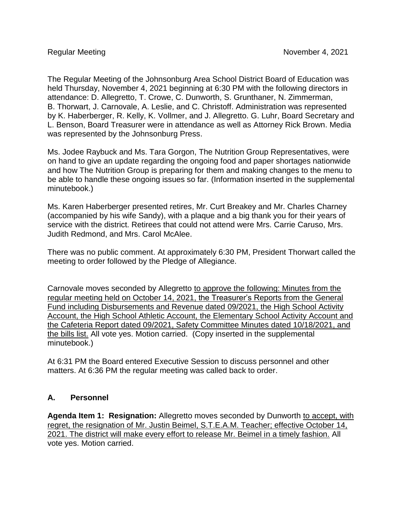The Regular Meeting of the Johnsonburg Area School District Board of Education was held Thursday, November 4, 2021 beginning at 6:30 PM with the following directors in attendance: D. Allegretto, T. Crowe, C. Dunworth, S. Grunthaner, N. Zimmerman, B. Thorwart, J. Carnovale, A. Leslie, and C. Christoff. Administration was represented by K. Haberberger, R. Kelly, K. Vollmer, and J. Allegretto. G. Luhr, Board Secretary and L. Benson, Board Treasurer were in attendance as well as Attorney Rick Brown. Media was represented by the Johnsonburg Press.

Ms. Jodee Raybuck and Ms. Tara Gorgon, The Nutrition Group Representatives, were on hand to give an update regarding the ongoing food and paper shortages nationwide and how The Nutrition Group is preparing for them and making changes to the menu to be able to handle these ongoing issues so far. (Information inserted in the supplemental minutebook.)

Ms. Karen Haberberger presented retires, Mr. Curt Breakey and Mr. Charles Charney (accompanied by his wife Sandy), with a plaque and a big thank you for their years of service with the district. Retirees that could not attend were Mrs. Carrie Caruso, Mrs. Judith Redmond, and Mrs. Carol McAlee.

There was no public comment. At approximately 6:30 PM, President Thorwart called the meeting to order followed by the Pledge of Allegiance.

Carnovale moves seconded by Allegretto to approve the following: Minutes from the regular meeting held on October 14, 2021, the Treasurer's Reports from the General Fund including Disbursements and Revenue dated 09/2021, the High School Activity Account, the High School Athletic Account, the Elementary School Activity Account and the Cafeteria Report dated 09/2021, Safety Committee Minutes dated 10/18/2021, and the bills list. All vote yes. Motion carried. (Copy inserted in the supplemental minutebook.)

At 6:31 PM the Board entered Executive Session to discuss personnel and other matters. At 6:36 PM the regular meeting was called back to order.

## **A. Personnel**

**Agenda Item 1: Resignation:** Allegretto moves seconded by Dunworth to accept, with regret, the resignation of Mr. Justin Beimel, S.T.E.A.M. Teacher; effective October 14, 2021. The district will make every effort to release Mr. Beimel in a timely fashion. All vote yes. Motion carried.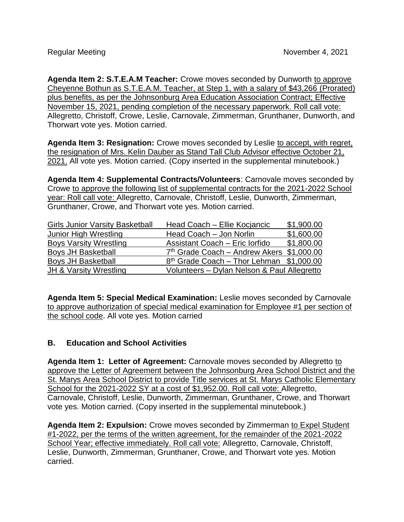**Agenda Item 2: S.T.E.A.M Teacher:** Crowe moves seconded by Dunworth to approve Cheyenne Bothun as S.T.E.A.M. Teacher, at Step 1, with a salary of \$43,266 (Prorated) plus benefits, as per the Johnsonburg Area Education Association Contract; Effective November 15, 2021, pending completion of the necessary paperwork. Roll call vote: Allegretto, Christoff, Crowe, Leslie, Carnovale, Zimmerman, Grunthaner, Dunworth, and Thorwart vote yes. Motion carried.

**Agenda Item 3: Resignation:** Crowe moves seconded by Leslie to accept, with regret, the resignation of Mrs. Kelin Dauber as Stand Tall Club Advisor effective October 21, 2021. All vote yes. Motion carried. (Copy inserted in the supplemental minutebook.)

**Agenda Item 4: Supplemental Contracts/Volunteers**: Carnovale moves seconded by Crowe to approve the following list of supplemental contracts for the 2021-2022 School year: Roll call vote: Allegretto, Carnovale, Christoff, Leslie, Dunworth, Zimmerman, Grunthaner, Crowe, and Thorwart vote yes. Motion carried.

| <b>Girls Junior Varsity Basketball</b> | Head Coach - Ellie Kocjancic                          | \$1,900.00 |
|----------------------------------------|-------------------------------------------------------|------------|
| Junior High Wrestling                  | Head Coach - Jon Norlin                               | \$1,600.00 |
| <b>Boys Varsity Wrestling</b>          | Assistant Coach - Eric Iorfido                        | \$1,800.00 |
| <b>Boys JH Basketball</b>              | 7 <sup>th</sup> Grade Coach - Andrew Akers \$1,000.00 |            |
| <b>Boys JH Basketball</b>              | $8th$ Grade Coach – Thor Lehman $$1,000.00$           |            |
| JH & Varsity Wrestling                 | Volunteers - Dylan Nelson & Paul Allegretto           |            |

**Agenda Item 5: Special Medical Examination:** Leslie moves seconded by Carnovale to approve authorization of special medical examination for Employee #1 per section of the school code. All vote yes. Motion carried

## **B. Education and School Activities**

**Agenda Item 1: Letter of Agreement:** Carnovale moves seconded by Allegretto to approve the Letter of Agreement between the Johnsonburg Area School District and the St. Marys Area School District to provide Title services at St. Marys Catholic Elementary School for the 2021-2022 SY at a cost of \$1,952.00. Roll call vote: Allegretto, Carnovale, Christoff, Leslie, Dunworth, Zimmerman, Grunthaner, Crowe, and Thorwart vote yes. Motion carried. (Copy inserted in the supplemental minutebook.)

**Agenda Item 2: Expulsion:** Crowe moves seconded by Zimmerman to Expel Student #1-2022, per the terms of the written agreement, for the remainder of the 2021-2022 School Year; effective immediately. Roll call vote: Allegretto, Carnovale, Christoff, Leslie, Dunworth, Zimmerman, Grunthaner, Crowe, and Thorwart vote yes. Motion carried.